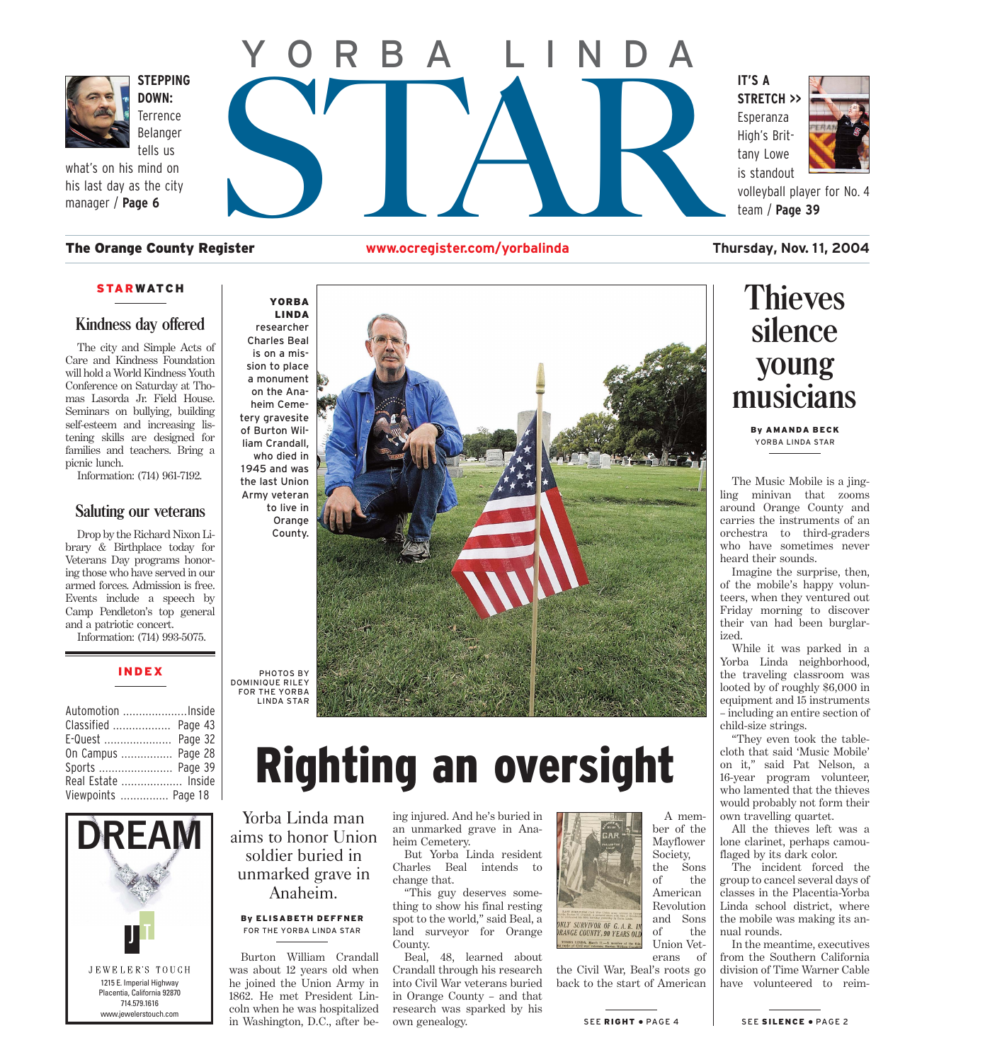<span id="page-0-0"></span>

**DOWN: Terrence** Belanger tells us

what's on his mind on his last day as the city manager / **Page 6**

# STEPPING<br>DOWN:<br>Elerrence<br>Belanger<br>tells us<br>mind on<br>sthe city<br>ge 6<br>e County Register www.ocregister.com/yorbalinda **IT'S A** YORBA LINDA

#### The Orange County Register **www.ocregister.com/yorbalinda Thursday, Nov. 1 1, 2004**

#### **STARWATCH**

#### **Kindness day offered**

The city and Simple Acts of Care and Kindness Foundation will hold a World Kindness Youth Conference on Saturday at Thomas Lasorda Jr. Field House. Seminars on bullying, building self-esteem and increasing listening skills are designed for families and teachers. Bring a picnic lunch.

Information: (714) 961-7192.

#### **Saluting our veterans**

Drop by the Richard Nixon Library & Birthplace today for Veterans Day programs honoring those who have served in our armed forces. Admission is free. Events include a speech by Camp Pendleton's top general and a patriotic concert.

Information: (714) 993-5075.

#### INDEX

| Automotion Inside   |  |
|---------------------|--|
| Classified  Page 43 |  |
| E-Quest  Page 32    |  |
| On Campus  Page 28  |  |
| Sports  Page 39     |  |
| Real Estate  Inside |  |
| Viewpoints  Page 18 |  |





## Righting an oversight

Yorba Linda man aims to honor Union soldier buried in unmarked grave in Anaheim.

#### By ELISABETH DEFFNER FOR THE YORBA LINDA STAR

Burton William Crandall was about 12 years old when he joined the Union Army in 1862. He met President Lincoln when he was hospitalized in Washington, D.C., after be-

ing injured. And he's buried in an unmarked grave in Anaheim Cemetery.

But Yorba Linda resident Charles Beal intends to change that.

"This guy deserves something to show his final resting spot to the world," said Beal, a land surveyor for Orange County.

Beal, 48, learned about Crandall through his research into Civil War veterans buried in Orange County – and that research was sparked by his own genealogy.



A member of the Mayflower Society, the Sons of the American Revolution and Sons of the Union Vet-

erans of the Civil War, Beal's roots go back [to the start of Ame](#page-1-0)rican



volleyball player for No. 4 team / **Page 39**

### **Thieves silence young musicians**

By AMANDA BECK YORBA LINDA STAR

The Music Mobile is a jingling minivan that zooms around Orange County and carries the instruments of an orchestra to third-graders who have sometimes never heard their sounds.

Imagine the surprise, then, of the mobile's happy volunteers, when they ventured out Friday morning to discover their van had been burglarized.

While it was parked in a Yorba Linda neighborhood, the traveling classroom was looted by of roughly \$6,000 in equipment and 15 instruments – including an entire section of child-size strings.

"They even took the tablecloth that said 'Music Mobile' on it," said Pat Nelson, a 16-year program volunteer, who lamented that the thieves would probably not form their own travelling quartet.

All the thieves left was a lone clarinet, perhaps camouflaged by its dark color.

The incident forced the group to cancel several days of classes in the Placentia-Yorba Linda school district, where the mobile was making its annual rounds.

In the meantime, executives from the Southern California division of Time Warner Cable have volunteered to reim-